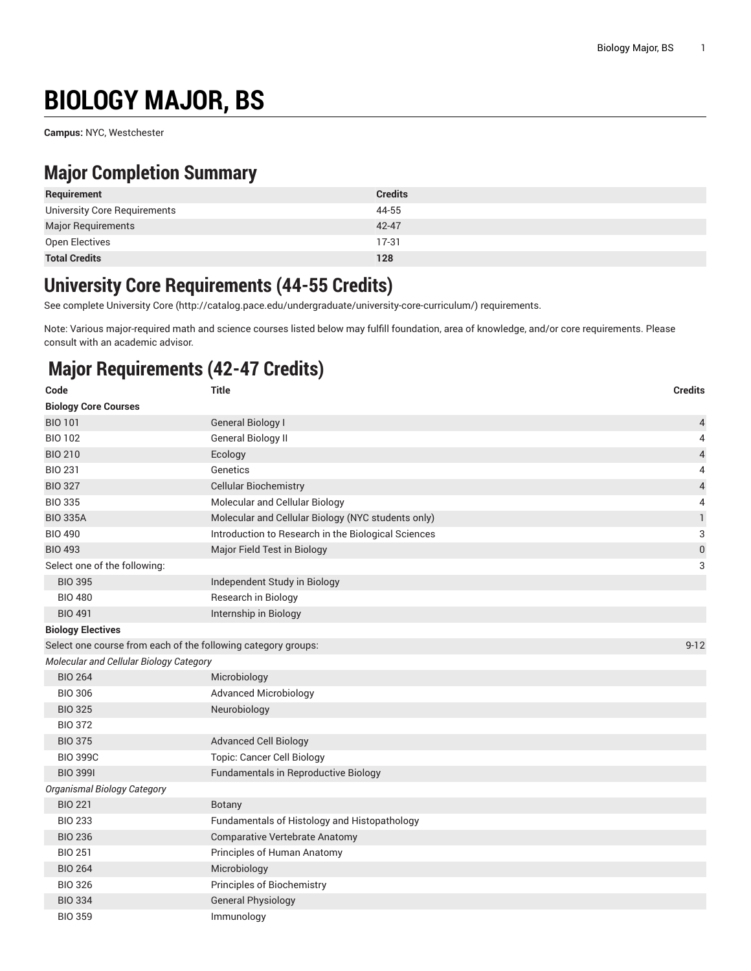# **BIOLOGY MAJOR, BS**

**Campus:** NYC, Westchester

## **Major Completion Summary**

| Requirement                  | <b>Credits</b> |
|------------------------------|----------------|
| University Core Requirements | 44-55          |
| Major Requirements           | 42-47          |
| Open Electives               | $17-31$        |
| <b>Total Credits</b>         | 128            |

#### **University Core Requirements (44-55 Credits)**

See complete [University](http://catalog.pace.edu/undergraduate/university-core-curriculum/) Core (<http://catalog.pace.edu/undergraduate/university-core-curriculum/>) requirements.

Note: Various major-required math and science courses listed below may fulfill foundation, area of knowledge, and/or core requirements. Please consult with an academic advisor.

# **Major Requirements (42-47 Credits)**

| Code                                                          | <b>Title</b>                                        | <b>Credits</b>           |
|---------------------------------------------------------------|-----------------------------------------------------|--------------------------|
| <b>Biology Core Courses</b>                                   |                                                     |                          |
| <b>BIO 101</b>                                                | <b>General Biology I</b>                            | 4                        |
| <b>BIO 102</b>                                                | <b>General Biology II</b>                           | 4                        |
| <b>BIO 210</b>                                                | Ecology                                             | $\overline{\mathcal{L}}$ |
| <b>BIO 231</b>                                                | Genetics                                            | 4                        |
| <b>BIO 327</b>                                                | <b>Cellular Biochemistry</b>                        | $\overline{\mathcal{L}}$ |
| <b>BIO 335</b>                                                | Molecular and Cellular Biology                      | 4                        |
| <b>BIO 335A</b>                                               | Molecular and Cellular Biology (NYC students only)  | $\mathbf{1}$             |
| <b>BIO 490</b>                                                | Introduction to Research in the Biological Sciences | 3                        |
| <b>BIO 493</b>                                                | Major Field Test in Biology                         | 0                        |
| Select one of the following:                                  |                                                     | 3                        |
| <b>BIO 395</b>                                                | Independent Study in Biology                        |                          |
| <b>BIO 480</b>                                                | Research in Biology                                 |                          |
| <b>BIO 491</b>                                                | Internship in Biology                               |                          |
| <b>Biology Electives</b>                                      |                                                     |                          |
| Select one course from each of the following category groups: |                                                     | $9 - 12$                 |
| Molecular and Cellular Biology Category                       |                                                     |                          |
| <b>BIO 264</b>                                                | Microbiology                                        |                          |
| <b>BIO 306</b>                                                | <b>Advanced Microbiology</b>                        |                          |
| <b>BIO 325</b>                                                | Neurobiology                                        |                          |
| <b>BIO 372</b>                                                |                                                     |                          |
| <b>BIO 375</b>                                                | <b>Advanced Cell Biology</b>                        |                          |
| <b>BIO 399C</b>                                               | <b>Topic: Cancer Cell Biology</b>                   |                          |
| <b>BIO 3991</b>                                               | Fundamentals in Reproductive Biology                |                          |
| <b>Organismal Biology Category</b>                            |                                                     |                          |
| <b>BIO 221</b>                                                | Botany                                              |                          |
| <b>BIO 233</b>                                                | Fundamentals of Histology and Histopathology        |                          |
| <b>BIO 236</b>                                                | <b>Comparative Vertebrate Anatomy</b>               |                          |
| <b>BIO 251</b>                                                | Principles of Human Anatomy                         |                          |
| <b>BIO 264</b>                                                | Microbiology                                        |                          |
| <b>BIO 326</b>                                                | Principles of Biochemistry                          |                          |
| <b>BIO 334</b>                                                | <b>General Physiology</b>                           |                          |
| <b>BIO 359</b>                                                | Immunology                                          |                          |